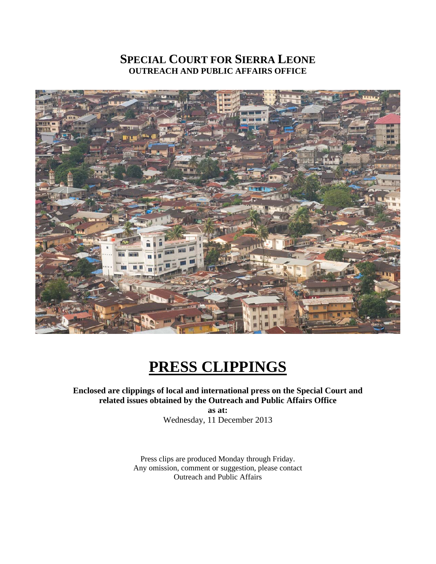## **SPECIAL COURT FOR SIERRA LEONE OUTREACH AND PUBLIC AFFAIRS OFFICE**



# **PRESS CLIPPINGS**

## **Enclosed are clippings of local and international press on the Special Court and related issues obtained by the Outreach and Public Affairs Office**

**as at:**  Wednesday, 11 December 2013

Press clips are produced Monday through Friday. Any omission, comment or suggestion, please contact Outreach and Public Affairs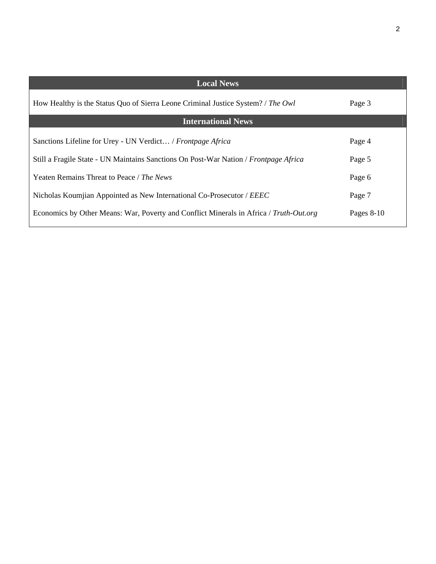| <b>Local News</b>                                                                      |              |
|----------------------------------------------------------------------------------------|--------------|
| How Healthy is the Status Quo of Sierra Leone Criminal Justice System? / The Owl       | Page 3       |
| <b>International News</b>                                                              |              |
| Sanctions Lifeline for Urey - UN Verdict / Frontpage Africa                            | Page 4       |
| Still a Fragile State - UN Maintains Sanctions On Post-War Nation / Frontpage Africa   | Page 5       |
| Yeaten Remains Threat to Peace / The News                                              | Page 6       |
| Nicholas Koumjian Appointed as New International Co-Prosecutor / EEEC                  | Page 7       |
| Economics by Other Means: War, Poverty and Conflict Minerals in Africa / Truth-Out.org | Pages $8-10$ |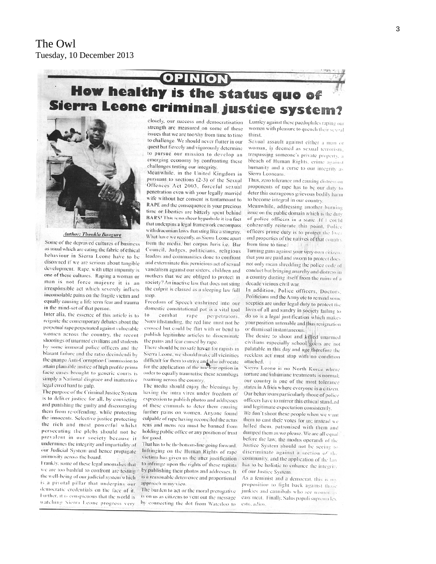## **OPINION** How healthy is the status quo of Sierra Leone criminal justice system?



**Author: Thonkla Bangura** 

Some of the depraved cultures of business as usual which are eating the fabric of ethical behaviour in Sierra Leone have to be disowned if we are serious about tangible development. Rape, with utter impunity is one of these cultures. Raping a woman or man is not force majeure it is an irresponsible act which severely inflicts inconsolable pains on the fragile victim and equally causing a life term fear and trauma in the mind-set of that person.

Inter alia, the essence of this article is to reignite the contemporary debates about the perpetual rape perpetrated against vulnerable women across the country, the recent shootings of unarmed civilians and students by some immoral police officers and the blatant failure and the ratio decindendi by the quango Anti-Corruption Commission to attain plausible justice of high profile primafacie cases brought to generic courts is simply a National disgrace and inattentive legal erred hard to gulp.

The purpose of the Criminal Justice System is to deliver justice for all, by convicting and punishing the guilty and discouraging them from re-offending, while protecting the innocents. Selective justice protecting the rich and most powerful whilst persecuting the plebs should not be prevalent in our society because it undermines the integrity and impartiality of our Judicial System and hence propagate animosity across the board.

Frankly, some of these legal anomalies that we are too bashful to confront are testing the well-being of our judicial system which is a pivotal pillar that underpins our democratic credentials on the face of it. Further, it is conspicuous that the world is watching Sierra Leone progress very

closely, our success and democratisation strength are measured on some of these issues that we are too shy from time to time to challenge. We should never flutter in our quest but fiercely and vigorously determine to pursue our mission to develop an emerging economy by confronting these challenges testing our integrity.

Meanwhile, in the United Kingdom in pursuant to sections (2-3) of the Sexual Offences Act 2003, forceful sexual penetration even with your legally married wife without her consent is tantamount to RAPE and the consequence is your precious time or liberties are bitterly spent behind BARS! This is no sheer hyperbole it is a fact that underpins a legal framework encompass with draconian laws that sting like a stingray. What have we recently, as Sierra Leone apart from the media, but corpus Juris i.e. Bar Council, Judges, politicians, religious leaders and communities done to confront and exterminate this pernicious act of sexual vandalism against our sisters, children and mothers that we are obliged to protect in society? An inactive law that does not sting the culprit is classed as a sleeping law full stop.

Freedom of Speech enshrined into our domestic constitutional pot is a vital tool  $10<sup>1</sup>$ combat rape perpetrators. Notwithstanding, the red line must not be crossed but could be flirt with or bend to publish legitimate articles to disseminate the pains and fear caused by rape.

There should be no safe haven for rapists in Sierra Leone, we should make all vicinities difficult for them to strive and also advocate<br>for the application of the nuclear option in order to equally traumatise these scumbags roaming across the country.

The media should enjoy the blessings by having the intra vires under freedom of expression to publish photos and addresses of these criminals to deter them causing further pains on women. Anyone found culpable of rape having reconciled the actusreus and mens rea must be banned from holding public office or any position of trust for good.

That has to be the bottom-line going forward. Infringing on the Human Rights of rape victims has given us the utter justification to infringe upon the rights of these rapists by publishing their photos and addresses. It is a reasonable deterrence and proportional approach in my view.

The burden to act or the moral prerogative is on us as citizens to vent out the message by connecting the dot from Waterloo to Lumley against these paedophiles raping our women with pleasure to quench their sexual thirst.

Sexual assault against either a man or woman, is deemed as sexual terrorism. trespassing someone's private property, a breach of Human Rights, crime against humanity and a curse to our integrity as Sierra Leoneans.

Thus, zero tolerance and causing distress on proponents of rape has to be our duty to deter this outrageous grievous bodily harm to become integral in our country.

Meanwhile, addressing another burning issue on the public domain which is the duty of police officers in a state .If I could coherently reiterate this point, Police officers prime duty is to protect the lives and properties of the natives of that country. from time to time.

Turning guns against your very own citizens that you are paid and sworn to protect does not only mean shredding the police code of conduct but bringing anarchy and distress in a country dusting itself from the ruins of a decade vicious civil war.

In addition, Police officers, Doctors, Politicians and the Army etc to remind some seepties are under legal duty to protect the lives of all and sundry in society failing to do so is a legal justification which makes your position untenable and thus resignation or dismissal instantaneous.

The desire to shoot and killed unarmed civilians especially school goers are not palatable in this day and age therefore the reckless act must stop with no condition attached.

Sierra Leone is no North Korea where torture and inhumane treatments is normal: our country is one of the most tolerance states in Africa where everyone is a citizen. Our behaviours particularly those of police officers have to mirror this ethical standard and legitimate expectation consistently.

We don't shoot these people when we want them to cast their votes for us; instead we lulled them, patronised with them and dumped them as we please. We are all equal before the law, the modus operandi of the Justice System should not be seeing to discriminate against a section of the community, and the application of the law has to be holistic to enhance the integrity of our Justice System.

As a feminist and a democrat, this is my proposition to fight back against those junkies and cannibals who see women as easy meat. Finally, Salus populi suprema lex esto, adios.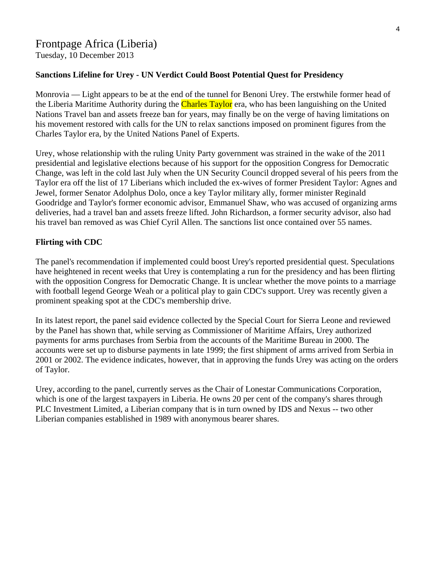Tuesday, 10 December 2013

## **Sanctions Lifeline for Urey - UN Verdict Could Boost Potential Quest for Presidency**

Monrovia — Light appears to be at the end of the tunnel for Benoni Urey. The erstwhile former head of the Liberia Maritime Authority during the Charles Taylor era, who has been languishing on the United Nations Travel ban and assets freeze ban for years, may finally be on the verge of having limitations on his movement restored with calls for the UN to relax sanctions imposed on prominent figures from the Charles Taylor era, by the United Nations Panel of Experts.

Urey, whose relationship with the ruling Unity Party government was strained in the wake of the 2011 presidential and legislative elections because of his support for the opposition Congress for Democratic Change, was left in the cold last July when the UN Security Council dropped several of his peers from the Taylor era off the list of 17 Liberians which included the ex-wives of former President Taylor: Agnes and Jewel, former Senator Adolphus Dolo, once a key Taylor military ally, former minister Reginald Goodridge and Taylor's former economic advisor, Emmanuel Shaw, who was accused of organizing arms deliveries, had a travel ban and assets freeze lifted. John Richardson, a former security advisor, also had his travel ban removed as was Chief Cyril Allen. The sanctions list once contained over 55 names.

#### **Flirting with CDC**

The panel's recommendation if implemented could boost Urey's reported presidential quest. Speculations have heightened in recent weeks that Urey is contemplating a run for the presidency and has been flirting with the opposition Congress for Democratic Change. It is unclear whether the move points to a marriage with football legend George Weah or a political play to gain CDC's support. Urey was recently given a prominent speaking spot at the CDC's membership drive.

In its latest report, the panel said evidence collected by the Special Court for Sierra Leone and reviewed by the Panel has shown that, while serving as Commissioner of Maritime Affairs, Urey authorized payments for arms purchases from Serbia from the accounts of the Maritime Bureau in 2000. The accounts were set up to disburse payments in late 1999; the first shipment of arms arrived from Serbia in 2001 or 2002. The evidence indicates, however, that in approving the funds Urey was acting on the orders of Taylor.

Urey, according to the panel, currently serves as the Chair of Lonestar Communications Corporation, which is one of the largest taxpayers in Liberia. He owns 20 per cent of the company's shares through PLC Investment Limited, a Liberian company that is in turn owned by IDS and Nexus -- two other Liberian companies established in 1989 with anonymous bearer shares.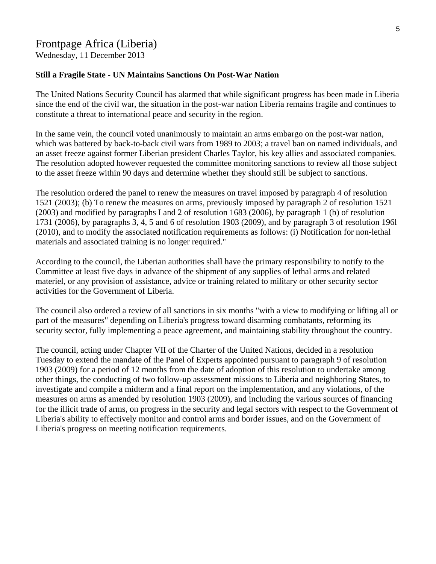## Frontpage Africa (Liberia)

Wednesday, 11 December 2013

#### **Still a Fragile State - UN Maintains Sanctions On Post-War Nation**

The United Nations Security Council has alarmed that while significant progress has been made in Liberia since the end of the civil war, the situation in the post-war nation Liberia remains fragile and continues to constitute a threat to international peace and security in the region.

In the same vein, the council voted unanimously to maintain an arms embargo on the post-war nation, which was battered by back-to-back civil wars from 1989 to 2003; a travel ban on named individuals, and an asset freeze against former Liberian president Charles Taylor, his key allies and associated companies. The resolution adopted however requested the committee monitoring sanctions to review all those subject to the asset freeze within 90 days and determine whether they should still be subject to sanctions.

The resolution ordered the panel to renew the measures on travel imposed by paragraph 4 of resolution 1521 (2003); (b) To renew the measures on arms, previously imposed by paragraph 2 of resolution 1521 (2003) and modified by paragraphs I and 2 of resolution 1683 (2006), by paragraph 1 (b) of resolution 1731 (2006), by paragraphs 3, 4, 5 and 6 of resolution 1903 (2009), and by paragraph 3 of resolution 196l (2010), and to modify the associated notification requirements as follows: (i) Notification for non-lethal materials and associated training is no longer required."

According to the council, the Liberian authorities shall have the primary responsibility to notify to the Committee at least five days in advance of the shipment of any supplies of lethal arms and related materiel, or any provision of assistance, advice or training related to military or other security sector activities for the Government of Liberia.

The council also ordered a review of all sanctions in six months "with a view to modifying or lifting all or part of the measures" depending on Liberia's progress toward disarming combatants, reforming its security sector, fully implementing a peace agreement, and maintaining stability throughout the country.

The council, acting under Chapter VII of the Charter of the United Nations, decided in a resolution Tuesday to extend the mandate of the Panel of Experts appointed pursuant to paragraph 9 of resolution 1903 (2009) for a period of 12 months from the date of adoption of this resolution to undertake among other things, the conducting of two follow-up assessment missions to Liberia and neighboring States, to investigate and compile a midterm and a final report on the implementation, and any violations, of the measures on arms as amended by resolution 1903 (2009), and including the various sources of financing for the illicit trade of arms, on progress in the security and legal sectors with respect to the Government of Liberia's ability to effectively monitor and control arms and border issues, and on the Government of Liberia's progress on meeting notification requirements.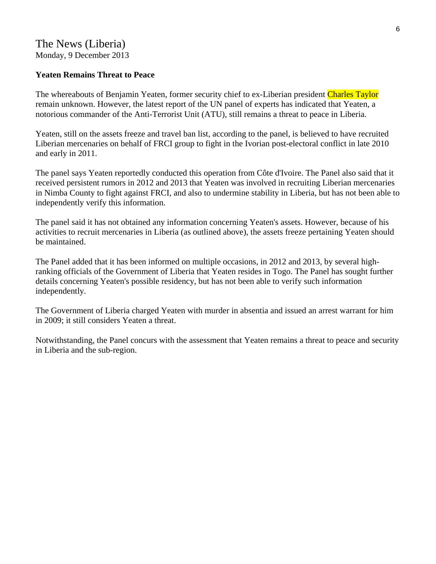## The News (Liberia) Monday, 9 December 2013

#### **Yeaten Remains Threat to Peace**

The whereabouts of Benjamin Yeaten, former security chief to ex-Liberian president Charles Taylor remain unknown. However, the latest report of the UN panel of experts has indicated that Yeaten, a notorious commander of the Anti-Terrorist Unit (ATU), still remains a threat to peace in Liberia.

Yeaten, still on the assets freeze and travel ban list, according to the panel, is believed to have recruited Liberian mercenaries on behalf of FRCI group to fight in the Ivorian post-electoral conflict in late 2010 and early in 2011.

The panel says Yeaten reportedly conducted this operation from Côte d'Ivoire. The Panel also said that it received persistent rumors in 2012 and 2013 that Yeaten was involved in recruiting Liberian mercenaries in Nimba County to fight against FRCI, and also to undermine stability in Liberia, but has not been able to independently verify this information.

The panel said it has not obtained any information concerning Yeaten's assets. However, because of his activities to recruit mercenaries in Liberia (as outlined above), the assets freeze pertaining Yeaten should be maintained.

The Panel added that it has been informed on multiple occasions, in 2012 and 2013, by several highranking officials of the Government of Liberia that Yeaten resides in Togo. The Panel has sought further details concerning Yeaten's possible residency, but has not been able to verify such information independently.

The Government of Liberia charged Yeaten with murder in absentia and issued an arrest warrant for him in 2009; it still considers Yeaten a threat.

Notwithstanding, the Panel concurs with the assessment that Yeaten remains a threat to peace and security in Liberia and the sub-region.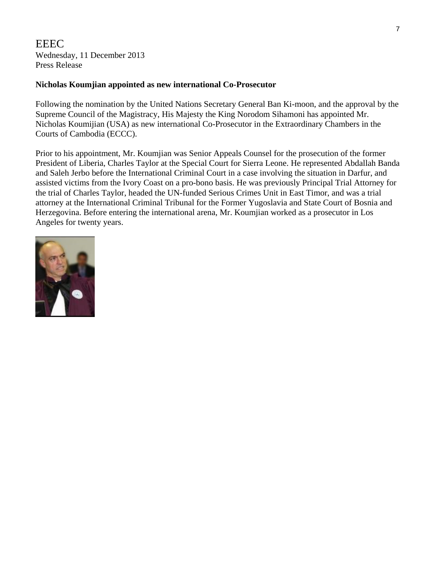EEEC Wednesday, 11 December 2013 Press Release

#### **Nicholas Koumjian appointed as new international Co-Prosecutor**

Following the nomination by the United Nations Secretary General Ban Ki-moon, and the approval by the Supreme Council of the Magistracy, His Majesty the King Norodom Sihamoni has appointed Mr. Nicholas Koumijian (USA) as new international Co-Prosecutor in the Extraordinary Chambers in the Courts of Cambodia (ECCC).

Prior to his appointment, Mr. Koumjian was Senior Appeals Counsel for the prosecution of the former President of Liberia, Charles Taylor at the Special Court for Sierra Leone. He represented Abdallah Banda and Saleh Jerbo before the International Criminal Court in a case involving the situation in Darfur, and assisted victims from the Ivory Coast on a pro-bono basis. He was previously Principal Trial Attorney for the trial of Charles Taylor, headed the UN-funded Serious Crimes Unit in East Timor, and was a trial attorney at the International Criminal Tribunal for the Former Yugoslavia and State Court of Bosnia and Herzegovina. Before entering the international arena, Mr. Koumjian worked as a prosecutor in Los Angeles for twenty years.

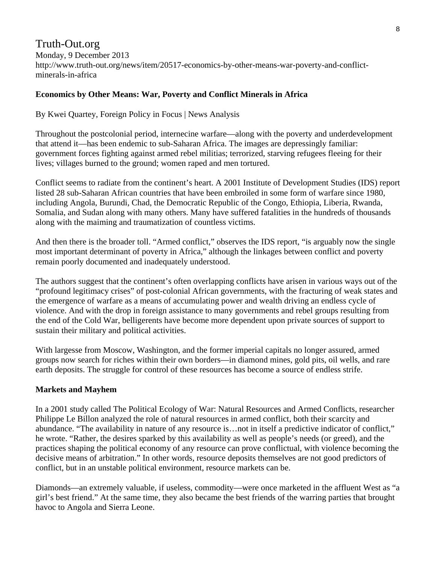## Truth-Out.org Monday, 9 December 2013 http://www.truth-out.org/news/item/20517-economics-by-other-means-war-poverty-and-conflictminerals-in-africa

## **Economics by Other Means: War, Poverty and Conflict Minerals in Africa**

By Kwei Quartey, Foreign Policy in Focus | News Analysis

Throughout the postcolonial period, internecine warfare—along with the poverty and underdevelopment that attend it—has been endemic to sub-Saharan Africa. The images are depressingly familiar: government forces fighting against armed rebel militias; terrorized, starving refugees fleeing for their lives; villages burned to the ground; women raped and men tortured.

Conflict seems to radiate from the continent's heart. A 2001 Institute of Development Studies (IDS) report listed 28 sub-Saharan African countries that have been embroiled in some form of warfare since 1980, including Angola, Burundi, Chad, the Democratic Republic of the Congo, Ethiopia, Liberia, Rwanda, Somalia, and Sudan along with many others. Many have suffered fatalities in the hundreds of thousands along with the maiming and traumatization of countless victims.

And then there is the broader toll. "Armed conflict," observes the IDS report, "is arguably now the single most important determinant of poverty in Africa," although the linkages between conflict and poverty remain poorly documented and inadequately understood.

The authors suggest that the continent's often overlapping conflicts have arisen in various ways out of the "profound legitimacy crises" of post-colonial African governments, with the fracturing of weak states and the emergence of warfare as a means of accumulating power and wealth driving an endless cycle of violence. And with the drop in foreign assistance to many governments and rebel groups resulting from the end of the Cold War, belligerents have become more dependent upon private sources of support to sustain their military and political activities.

With largesse from Moscow, Washington, and the former imperial capitals no longer assured, armed groups now search for riches within their own borders—in diamond mines, gold pits, oil wells, and rare earth deposits. The struggle for control of these resources has become a source of endless strife.

## **Markets and Mayhem**

In a 2001 study called The Political Ecology of War: Natural Resources and Armed Conflicts, researcher Philippe Le Billon analyzed the role of natural resources in armed conflict, both their scarcity and abundance. "The availability in nature of any resource is…not in itself a predictive indicator of conflict," he wrote. "Rather, the desires sparked by this availability as well as people's needs (or greed), and the practices shaping the political economy of any resource can prove conflictual, with violence becoming the decisive means of arbitration." In other words, resource deposits themselves are not good predictors of conflict, but in an unstable political environment, resource markets can be.

Diamonds—an extremely valuable, if useless, commodity—were once marketed in the affluent West as "a girl's best friend." At the same time, they also became the best friends of the warring parties that brought havoc to Angola and Sierra Leone.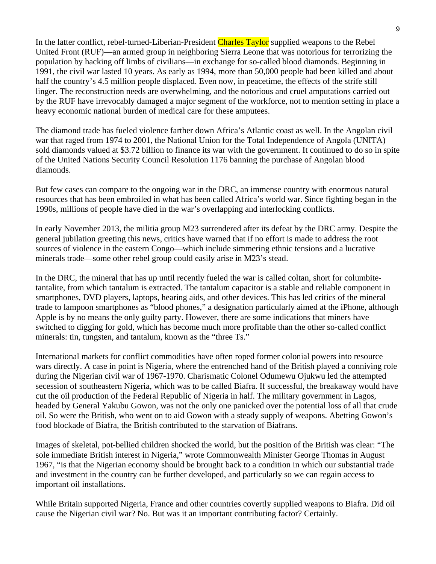In the latter conflict, rebel-turned-Liberian-President Charles Taylor supplied weapons to the Rebel United Front (RUF)—an armed group in neighboring Sierra Leone that was notorious for terrorizing the population by hacking off limbs of civilians—in exchange for so-called blood diamonds. Beginning in 1991, the civil war lasted 10 years. As early as 1994, more than 50,000 people had been killed and about half the country's 4.5 million people displaced. Even now, in peacetime, the effects of the strife still linger. The reconstruction needs are overwhelming, and the notorious and cruel amputations carried out by the RUF have irrevocably damaged a major segment of the workforce, not to mention setting in place a heavy economic national burden of medical care for these amputees.

The diamond trade has fueled violence farther down Africa's Atlantic coast as well. In the Angolan civil war that raged from 1974 to 2001, the National Union for the Total Independence of Angola (UNITA) sold diamonds valued at \$3.72 billion to finance its war with the government. It continued to do so in spite of the United Nations Security Council Resolution 1176 banning the purchase of Angolan blood diamonds.

But few cases can compare to the ongoing war in the DRC, an immense country with enormous natural resources that has been embroiled in what has been called Africa's world war. Since fighting began in the 1990s, millions of people have died in the war's overlapping and interlocking conflicts.

In early November 2013, the militia group M23 surrendered after its defeat by the DRC army. Despite the general jubilation greeting this news, critics have warned that if no effort is made to address the root sources of violence in the eastern Congo—which include simmering ethnic tensions and a lucrative minerals trade—some other rebel group could easily arise in M23's stead.

In the DRC, the mineral that has up until recently fueled the war is called coltan, short for columbitetantalite, from which tantalum is extracted. The tantalum capacitor is a stable and reliable component in smartphones, DVD players, laptops, hearing aids, and other devices. This has led critics of the mineral trade to lampoon smartphones as "blood phones," a designation particularly aimed at the iPhone, although Apple is by no means the only guilty party. However, there are some indications that miners have switched to digging for gold, which has become much more profitable than the other so-called conflict minerals: tin, tungsten, and tantalum, known as the "three Ts."

International markets for conflict commodities have often roped former colonial powers into resource wars directly. A case in point is Nigeria, where the entrenched hand of the British played a conniving role during the Nigerian civil war of 1967-1970. Charismatic Colonel Odumewu Ojukwu led the attempted secession of southeastern Nigeria, which was to be called Biafra. If successful, the breakaway would have cut the oil production of the Federal Republic of Nigeria in half. The military government in Lagos, headed by General Yakubu Gowon, was not the only one panicked over the potential loss of all that crude oil. So were the British, who went on to aid Gowon with a steady supply of weapons. Abetting Gowon's food blockade of Biafra, the British contributed to the starvation of Biafrans.

Images of skeletal, pot-bellied children shocked the world, but the position of the British was clear: "The sole immediate British interest in Nigeria," wrote Commonwealth Minister George Thomas in August 1967, "is that the Nigerian economy should be brought back to a condition in which our substantial trade and investment in the country can be further developed, and particularly so we can regain access to important oil installations.

While Britain supported Nigeria, France and other countries covertly supplied weapons to Biafra. Did oil cause the Nigerian civil war? No. But was it an important contributing factor? Certainly.